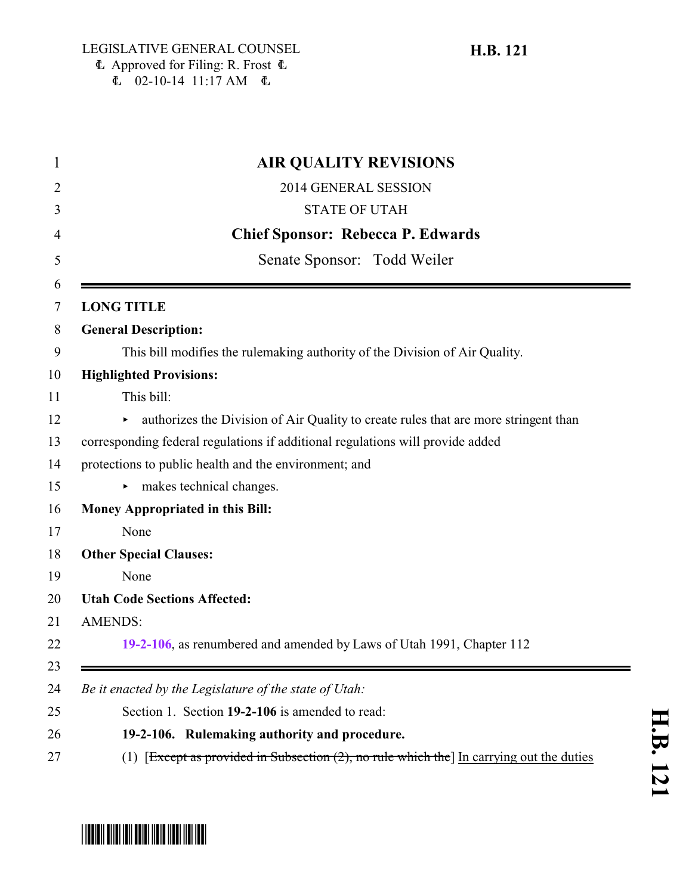$E$  02-10-14 11:17 AM  $E$ 

**H.B. 121**

## **AIR QUALITY REVISIONS** 2014 GENERAL SESSION STATE OF UTAH **Chief Sponsor: Rebecca P. Edwards** Senate Sponsor: Todd Weiler **LONG TITLE General Description:** This bill modifies the rulemaking authority of the Division of Air Quality. **Highlighted Provisions:** This bill: 12 authorizes the Division of Air Quality to create rules that are more stringent than corresponding federal regulations if additional regulations will provide added protections to public health and the environment; and 15 makes technical changes. **Money Appropriated in this Bill:** None **Other Special Clauses:** None **Utah Code Sections Affected:** AMENDS: **[19-2-106](#page-0-0)**, as renumbered and amended by Laws of Utah 1991, Chapter 112 *Be it enacted by the Legislature of the state of Utah:* Section 1. Section **19-2-106** is amended to read: **19-2-106. Rulemaking authority and procedure.** 27 (1) [Except as provided in Subsection (2), no rule which the In carrying out the duties

<span id="page-0-0"></span>